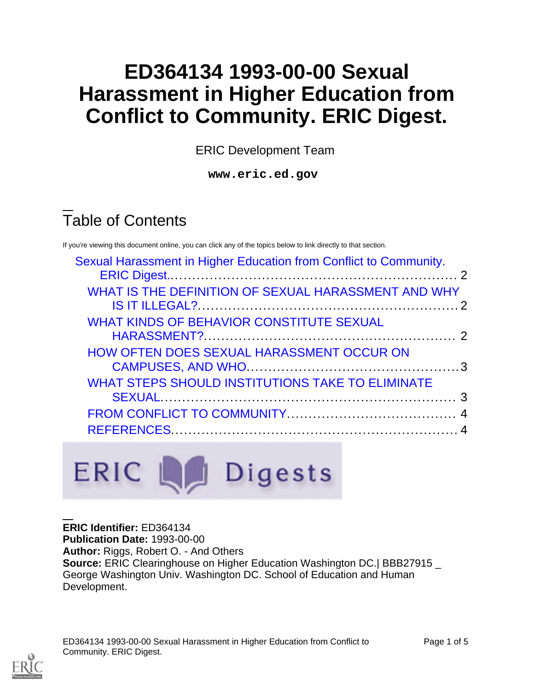# **ED364134 1993-00-00 Sexual Harassment in Higher Education from Conflict to Community. ERIC Digest.**

ERIC Development Team

**www.eric.ed.gov**

# Table of Contents

If you're viewing this document online, you can click any of the topics below to link directly to that section.

| Sexual Harassment in Higher Education from Conflict to Community. |  |
|-------------------------------------------------------------------|--|
| WHAT IS THE DEFINITION OF SEXUAL HARASSMENT AND WHY               |  |
| WHAT KINDS OF BEHAVIOR CONSTITUTE SEXUAL                          |  |
| <b>HOW OFTEN DOES SEXUAL HARASSMENT OCCUR ON</b>                  |  |
| <b>WHAT STEPS SHOULD INSTITUTIONS TAKE TO ELIMINATE</b>           |  |
|                                                                   |  |
|                                                                   |  |

**ERIC Identifier:** ED364134 **Publication Date:** 1993-00-00 **Author:** Riggs, Robert O. - And Others **Source:** ERIC Clearinghouse on Higher Education Washington DC.| BBB27915 \_ George Washington Univ. Washington DC. School of Education and Human Development.



ED364134 1993-00-00 Sexual Harassment in Higher Education from Conflict to Community. ERIC Digest.

ERIC La Digests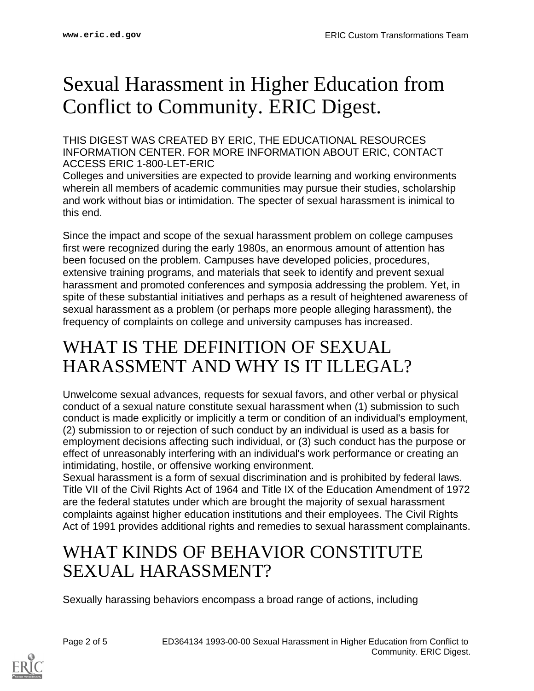# <span id="page-1-0"></span>Sexual Harassment in Higher Education from Conflict to Community. ERIC Digest.

THIS DIGEST WAS CREATED BY ERIC, THE EDUCATIONAL RESOURCES INFORMATION CENTER. FOR MORE INFORMATION ABOUT ERIC, CONTACT ACCESS ERIC 1-800-LET-ERIC

Colleges and universities are expected to provide learning and working environments wherein all members of academic communities may pursue their studies, scholarship and work without bias or intimidation. The specter of sexual harassment is inimical to this end.

Since the impact and scope of the sexual harassment problem on college campuses first were recognized during the early 1980s, an enormous amount of attention has been focused on the problem. Campuses have developed policies, procedures, extensive training programs, and materials that seek to identify and prevent sexual harassment and promoted conferences and symposia addressing the problem. Yet, in spite of these substantial initiatives and perhaps as a result of heightened awareness of sexual harassment as a problem (or perhaps more people alleging harassment), the frequency of complaints on college and university campuses has increased.

#### <span id="page-1-1"></span>WHAT IS THE DEFINITION OF SEXUAL HARASSMENT AND WHY IS IT ILLEGAL?

Unwelcome sexual advances, requests for sexual favors, and other verbal or physical conduct of a sexual nature constitute sexual harassment when (1) submission to such conduct is made explicitly or implicitly a term or condition of an individual's employment, (2) submission to or rejection of such conduct by an individual is used as a basis for employment decisions affecting such individual, or (3) such conduct has the purpose or effect of unreasonably interfering with an individual's work performance or creating an intimidating, hostile, or offensive working environment.

Sexual harassment is a form of sexual discrimination and is prohibited by federal laws. Title VII of the Civil Rights Act of 1964 and Title IX of the Education Amendment of 1972 are the federal statutes under which are brought the majority of sexual harassment complaints against higher education institutions and their employees. The Civil Rights Act of 1991 provides additional rights and remedies to sexual harassment complainants.

### <span id="page-1-2"></span>WHAT KINDS OF BEHAVIOR CONSTITUTE SEXUAL HARASSMENT?

Sexually harassing behaviors encompass a broad range of actions, including

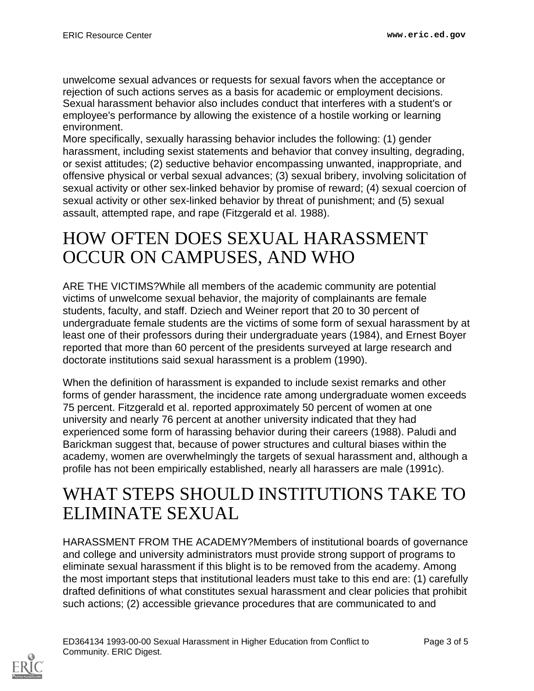unwelcome sexual advances or requests for sexual favors when the acceptance or rejection of such actions serves as a basis for academic or employment decisions. Sexual harassment behavior also includes conduct that interferes with a student's or employee's performance by allowing the existence of a hostile working or learning environment.

More specifically, sexually harassing behavior includes the following: (1) gender harassment, including sexist statements and behavior that convey insulting, degrading, or sexist attitudes; (2) seductive behavior encompassing unwanted, inappropriate, and offensive physical or verbal sexual advances; (3) sexual bribery, involving solicitation of sexual activity or other sex-linked behavior by promise of reward; (4) sexual coercion of sexual activity or other sex-linked behavior by threat of punishment; and (5) sexual assault, attempted rape, and rape (Fitzgerald et al. 1988).

### <span id="page-2-0"></span>HOW OFTEN DOES SEXUAL HARASSMENT OCCUR ON CAMPUSES, AND WHO

ARE THE VICTIMS?While all members of the academic community are potential victims of unwelcome sexual behavior, the majority of complainants are female students, faculty, and staff. Dziech and Weiner report that 20 to 30 percent of undergraduate female students are the victims of some form of sexual harassment by at least one of their professors during their undergraduate years (1984), and Ernest Boyer reported that more than 60 percent of the presidents surveyed at large research and doctorate institutions said sexual harassment is a problem (1990).

When the definition of harassment is expanded to include sexist remarks and other forms of gender harassment, the incidence rate among undergraduate women exceeds 75 percent. Fitzgerald et al. reported approximately 50 percent of women at one university and nearly 76 percent at another university indicated that they had experienced some form of harassing behavior during their careers (1988). Paludi and Barickman suggest that, because of power structures and cultural biases within the academy, women are overwhelmingly the targets of sexual harassment and, although a profile has not been empirically established, nearly all harassers are male (1991c).

### <span id="page-2-1"></span>WHAT STEPS SHOULD INSTITUTIONS TAKE TO ELIMINATE SEXUAL

HARASSMENT FROM THE ACADEMY?Members of institutional boards of governance and college and university administrators must provide strong support of programs to eliminate sexual harassment if this blight is to be removed from the academy. Among the most important steps that institutional leaders must take to this end are: (1) carefully drafted definitions of what constitutes sexual harassment and clear policies that prohibit such actions; (2) accessible grievance procedures that are communicated to and

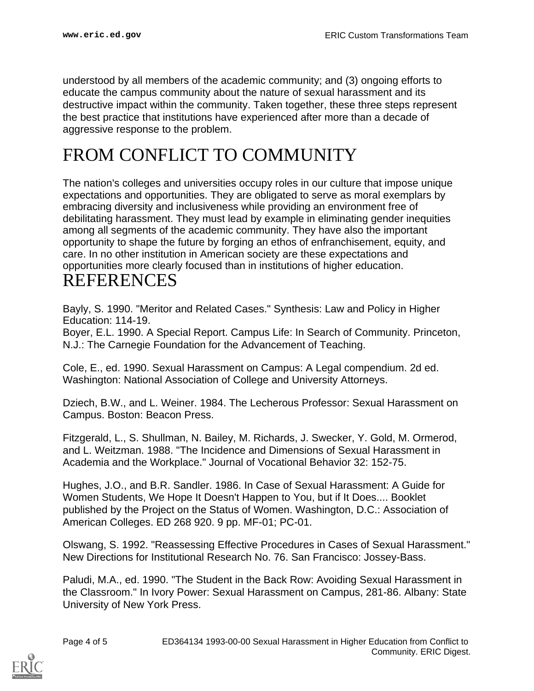understood by all members of the academic community; and (3) ongoing efforts to educate the campus community about the nature of sexual harassment and its destructive impact within the community. Taken together, these three steps represent the best practice that institutions have experienced after more than a decade of aggressive response to the problem.

## <span id="page-3-0"></span>FROM CONFLICT TO COMMUNITY

The nation's colleges and universities occupy roles in our culture that impose unique expectations and opportunities. They are obligated to serve as moral exemplars by embracing diversity and inclusiveness while providing an environment free of debilitating harassment. They must lead by example in eliminating gender inequities among all segments of the academic community. They have also the important opportunity to shape the future by forging an ethos of enfranchisement, equity, and care. In no other institution in American society are these expectations and opportunities more clearly focused than in institutions of higher education.

#### <span id="page-3-1"></span>REFERENCES

Bayly, S. 1990. "Meritor and Related Cases." Synthesis: Law and Policy in Higher Education: 114-19.

Boyer, E.L. 1990. A Special Report. Campus Life: In Search of Community. Princeton, N.J.: The Carnegie Foundation for the Advancement of Teaching.

Cole, E., ed. 1990. Sexual Harassment on Campus: A Legal compendium. 2d ed. Washington: National Association of College and University Attorneys.

Dziech, B.W., and L. Weiner. 1984. The Lecherous Professor: Sexual Harassment on Campus. Boston: Beacon Press.

Fitzgerald, L., S. Shullman, N. Bailey, M. Richards, J. Swecker, Y. Gold, M. Ormerod, and L. Weitzman. 1988. "The Incidence and Dimensions of Sexual Harassment in Academia and the Workplace." Journal of Vocational Behavior 32: 152-75.

Hughes, J.O., and B.R. Sandler. 1986. In Case of Sexual Harassment: A Guide for Women Students, We Hope It Doesn't Happen to You, but if It Does.... Booklet published by the Project on the Status of Women. Washington, D.C.: Association of American Colleges. ED 268 920. 9 pp. MF-01; PC-01.

Olswang, S. 1992. "Reassessing Effective Procedures in Cases of Sexual Harassment." New Directions for Institutional Research No. 76. San Francisco: Jossey-Bass.

Paludi, M.A., ed. 1990. "The Student in the Back Row: Avoiding Sexual Harassment in the Classroom." In Ivory Power: Sexual Harassment on Campus, 281-86. Albany: State University of New York Press.